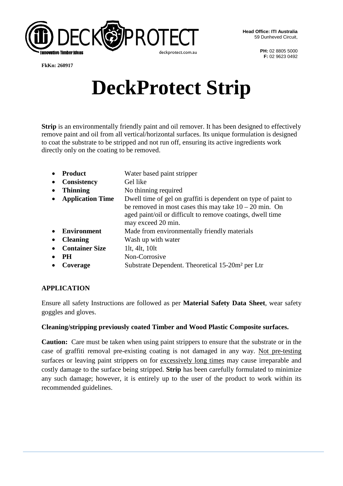

**PH:** 02 8805 5000 **F:** 02 9623 0492

**FkKn: 260917**

# **DeckProtect Strip**

**Strip** is an environmentally friendly paint and oil remover. It has been designed to effectively remove paint and oil from all vertical/horizontal surfaces. Its unique formulation is designed to coat the substrate to be stripped and not run off, ensuring its active ingredients work directly only on the coating to be removed.

| <b>Product</b>          | Water based paint stripper                                                                                                                                                                                     |
|-------------------------|----------------------------------------------------------------------------------------------------------------------------------------------------------------------------------------------------------------|
| <b>Consistency</b>      | Gel like                                                                                                                                                                                                       |
| <b>Thinning</b>         | No thinning required                                                                                                                                                                                           |
| <b>Application Time</b> | Dwell time of gel on graffiti is dependent on type of paint to<br>be removed in most cases this may take $10 - 20$ min. On<br>aged paint/oil or difficult to remove coatings, dwell time<br>may exceed 20 min. |
| <b>Environment</b>      | Made from environmentally friendly materials                                                                                                                                                                   |
| <b>Cleaning</b>         | Wash up with water                                                                                                                                                                                             |
| <b>Container Size</b>   | 11t, 41t, $10lt$                                                                                                                                                                                               |
| <b>PH</b>               | Non-Corrosive                                                                                                                                                                                                  |
| Coverage                | Substrate Dependent. Theoretical 15-20m <sup>2</sup> per Ltr                                                                                                                                                   |

## **APPLICATION**

Ensure all safety Instructions are followed as per **Material Safety Data Sheet**, wear safety goggles and gloves.

## **Cleaning/stripping previously coated Timber and Wood Plastic Composite surfaces.**

**Caution:** Care must be taken when using paint strippers to ensure that the substrate or in the case of graffiti removal pre-existing coating is not damaged in any way. Not pre-testing surfaces or leaving paint strippers on for excessively long times may cause irreparable and costly damage to the surface being stripped. **Strip** has been carefully formulated to minimize any such damage; however, it is entirely up to the user of the product to work within its recommended guidelines.